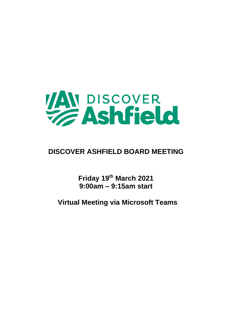

## **DISCOVER ASHFIELD BOARD MEETING**

**Friday 19th March 2021 9:00am – 9:15am start**

**Virtual Meeting via Microsoft Teams**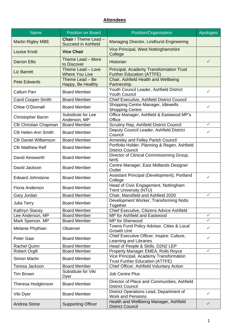## **Attendees**

| <b>Name</b>                   | <b>Position on Board</b>                                  | Position/Organisation                                                            | <b>Apologies</b> |
|-------------------------------|-----------------------------------------------------------|----------------------------------------------------------------------------------|------------------|
| <b>Martin Rigley MBE</b>      | <b>Chair</b> / Theme Lead -<br><b>Succeed in Ashfield</b> | Managing Director, Lindhurst Engineering                                         |                  |
| <b>Louise Knott</b>           | <b>Vice Chair</b>                                         | Vice Principal, West Nottinghamshire<br>College                                  |                  |
| <b>Darron Ellis</b>           | Theme Lead - More<br>to Discover                          | <b>Historian</b>                                                                 | $\checkmark$     |
| <b>Liz Barrett</b>            | Theme Lead - Love<br><b>Where You Live</b>                | Principal, Academy Transformation Trust<br><b>Further Education (ATTFE)</b>      |                  |
| <b>Pete Edwards</b>           | Theme Lead - Be<br>Happy, Be Healthy                      | Chair, Ashfield Health and Wellbeing<br>Partnership                              |                  |
| <b>Callum Parr</b>            | <b>Board Member</b>                                       | Youth Council Leader, Ashfield District<br><b>Youth Council</b>                  | $\checkmark$     |
| <b>Carol Cooper-Smith</b>     | <b>Board Member</b>                                       | Chief Executive, Ashfield District Council                                       |                  |
| Chloe O'Donnell               | <b>Board Member</b>                                       | Shopping Centre Manager, Idlewells<br><b>Shopping Centre</b>                     | $\checkmark$     |
| Christopher Baron             | Substitute for Lee<br>Anderson, MP                        | Office Manager, Ashfield & Eastwood MP's<br>Office                               |                  |
| <b>Cllr Christian Chapman</b> | <b>Board Member</b>                                       | Scrutiny Rep, Ashfield District Council                                          | $\checkmark$     |
| <b>Cllr Helen-Ann Smith</b>   | <b>Board Member</b>                                       | Deputy Council Leader, Ashfield District<br>Council                              | ✓                |
| <b>Cllr Daniel Williamson</b> | <b>Board Member</b>                                       | Annesley and Felley Parish Council                                               |                  |
| <b>Cllr Matthew Relf</b>      | <b>Board Member</b>                                       | Portfolio Holder, Planning & Regen, Ashfield<br><b>District Council</b>          |                  |
| David Ainsworth               | <b>Board Member</b>                                       | Director of Clinical Commissioning Group,<br><b>NHS</b>                          |                  |
| David Jackson                 | <b>Board Member</b>                                       | Centre Manager, East Midlands Designer<br>Outlet                                 |                  |
| <b>Edward Johnstone</b>       | <b>Board Member</b>                                       | Assistant Principal (Development), Portland<br>College                           | ✓                |
| Fiona Anderson                | <b>Board Member</b>                                       | Head of Civic Engagement, Nottingham<br><b>Trent University (NTU)</b>            |                  |
| Gary Jordan                   | <b>Board Member</b>                                       | Chair, Mansfield and Ashfield 2020                                               | $\checkmark$     |
| Julia Terry                   | <b>Board Member</b>                                       | Development Worker, Transforming Notts<br>Together                               |                  |
| Kathryn Stacey                | <b>Board Member</b>                                       | Chief Executive, Citizens Advice Ashfield                                        |                  |
| Lee Anderson, MP              | <b>Board Member</b>                                       | MP for Ashfield and Eastwood                                                     | $\checkmark$     |
| Mark Spencer, MP              | <b>Board Member</b>                                       | MP for Sherwood                                                                  | ✓                |
| Melanie Phythian              | Observer                                                  | Towns Fund Policy Advisor, Cities & Local<br><b>Growth Unit</b>                  | $\checkmark$     |
| Peter Gaw                     | <b>Board Member</b>                                       | Chief Executive Officer, Inspire: Culture,<br>Learning and Libraries             | ✓                |
| <b>Rachel Quinn</b>           | <b>Board Member</b>                                       | Head of People & Skills, D2N2 LEP                                                |                  |
| <b>Robert Orgill</b>          | <b>Board Member</b>                                       | Property Manager EMEA, Rolls Royce                                               | ✓                |
| <b>Simon Martin</b>           | <b>Board Member</b>                                       | Vice Principal, Academy Transformation<br><b>Trust Further Education (ATTFE)</b> |                  |
| Teresa Jackson                | <b>Board Member</b>                                       | Chief Officer, Ashfield Voluntary Action                                         |                  |
| <b>Tim Brown</b>              | Substitute for Viki<br>Dyer                               | <b>Job Centre Plus</b>                                                           |                  |
| Theresa Hodgkinson            | <b>Board Member</b>                                       | Director of Place and Communities, Ashfield<br><b>District Council</b>           |                  |
| Viki Dyer                     | <b>Board Member</b>                                       | District Operations Lead, Department of<br><b>Work and Pensions</b>              | ✓                |
| Andrea Stone                  | <b>Supporting Officer</b>                                 | Health and Wellbeing Manager, Ashfield<br><b>District Council</b>                | $\checkmark$     |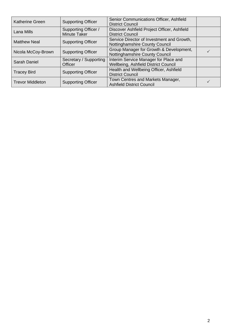| <b>Katherine Green</b>  | <b>Supporting Officer</b>                          | Senior Communications Officer, Ashfield<br><b>District Council</b>            |  |
|-------------------------|----------------------------------------------------|-------------------------------------------------------------------------------|--|
| Lana Mills              | <b>Supporting Officer /</b><br><b>Minute Taker</b> | Discover Ashfield Project Officer, Ashfield<br><b>District Council</b>        |  |
| <b>Matthew Neal</b>     | <b>Supporting Officer</b>                          | Service Director of Investment and Growth,<br>Nottinghamshire County Council  |  |
| Nicola McCoy-Brown      | <b>Supporting Officer</b>                          | Group Manager for Growth & Development,<br>Nottinghamshire County Council     |  |
| Sarah Daniel            | Secretary / Supporting<br>Officer                  | Interim Service Manager for Place and<br>Wellbeing, Ashfield District Council |  |
| <b>Tracey Bird</b>      | <b>Supporting Officer</b>                          | Health and Wellbeing Officer, Ashfield<br><b>District Council</b>             |  |
| <b>Trevor Middleton</b> | <b>Supporting Officer</b>                          | Town Centres and Markets Manager,<br><b>Ashfield District Council</b>         |  |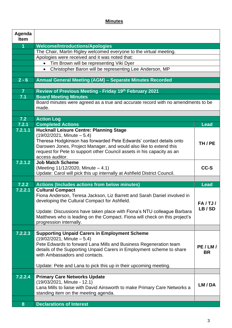## **Minutes**

| Agenda<br><b>Item</b> |                                                                                                                           |               |
|-----------------------|---------------------------------------------------------------------------------------------------------------------------|---------------|
| $\overline{1}$        | <b>Welcome/Introductions/Apologies</b>                                                                                    |               |
|                       | The Chair, Martin Rigley welcomed everyone to the virtual meeting.                                                        |               |
|                       | Apologies were received and it was noted that:                                                                            |               |
|                       | Tim Brown will be representing Viki Dyer<br>$\bullet$                                                                     |               |
|                       | Christopher Baron will be representing Lee Anderson, MP<br>$\bullet$                                                      |               |
|                       |                                                                                                                           |               |
| $2 - 6$               | Annual General Meeting (AGM) - Separate Minutes Recorded                                                                  |               |
|                       |                                                                                                                           |               |
| $\overline{7}$        | Review of Previous Meeting - Friday 19th February 2021                                                                    |               |
| 7.1                   | <b>Board Meeting Minutes</b>                                                                                              |               |
|                       | Board minutes were agreed as a true and accurate record with no amendments to be                                          |               |
|                       | made.                                                                                                                     |               |
|                       |                                                                                                                           |               |
| 7.2<br>7.2.1          | <b>Action Log</b><br><b>Completed Actions</b>                                                                             | <b>Lead</b>   |
| 7.2.1.1               | <b>Hucknall Leisure Centre: Planning Stage</b>                                                                            |               |
|                       | $(19/02/2021,$ Minute $-5.4)$                                                                                             |               |
|                       | Theresa Hodgkinson has forwarded Pete Edwards' contact details onto                                                       |               |
|                       | Darowen Jones, Project Manager, and would also like to extend this                                                        | TH/PE         |
|                       | request for Pete to support other Council assets in his capacity as an                                                    |               |
|                       | access auditor.                                                                                                           |               |
| 7.2.1.2               | <b>Job Match Scheme</b>                                                                                                   |               |
|                       | (Meeting $11/12/2020$ , Minute $-4.1$ )                                                                                   | CC-S          |
|                       | Update: Carol will pick this up internally at Ashfield District Council.                                                  |               |
|                       |                                                                                                                           |               |
| 7.2.2                 | <b>Actions (Includes actions from below minutes)</b>                                                                      | <b>Lead</b>   |
| 7.2.2.1               | <b>Cultural Compact</b>                                                                                                   |               |
|                       | Fiona Anderson, Teresa Jackson, Liz Barrett and Sarah Daniel involved in<br>developing the Cultural Compact for Ashfield. |               |
|                       |                                                                                                                           | <b>FA/TJ/</b> |
|                       | Update: Discussions have taken place with Fiona's NTU colleague Barbara                                                   | LB/SD         |
|                       | Matthews who is leading on the Compact. Fiona will check on this project's                                                |               |
|                       | progression internally.                                                                                                   |               |
|                       |                                                                                                                           |               |
| 7.2.2.3               | <b>Supporting Unpaid Carers in Employment Scheme</b>                                                                      |               |
|                       | $(19/02/2021,$ Minute $-5.4)$                                                                                             |               |
|                       | Pete Edwards to forward Lana Mills and Business Regeneration team                                                         | PE/LM/        |
|                       | details of the Supporting Unpaid Carers in Employment scheme to share                                                     | <b>BR</b>     |
|                       | with Ambassadors and contacts.                                                                                            |               |
|                       |                                                                                                                           |               |
|                       | Update: Pete and Lana to pick this up in their upcoming meeting.                                                          |               |
| 7.2.2.4               | <b>Primary Care Networks Update</b>                                                                                       |               |
|                       | (19/03/2021, Minute - 12.1)                                                                                               |               |
|                       | Lana Mills to liaise with David Ainsworth to make Primary Care Networks a                                                 | LM/DA         |
|                       | standing item on the meeting agenda.                                                                                      |               |
|                       |                                                                                                                           |               |
| 8                     | <b>Declarations of Interest</b>                                                                                           |               |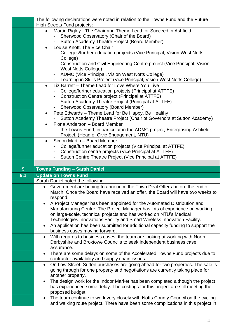|     | The following declarations were noted in relation to the Towns Fund and the Future<br><b>High Streets Fund projects:</b>                                                         |
|-----|----------------------------------------------------------------------------------------------------------------------------------------------------------------------------------|
|     | Martin Rigley - The Chair and Theme Lead for Succeed in Ashfield<br>$\bullet$                                                                                                    |
|     | Sherwood Observatory (Chair of the Board)                                                                                                                                        |
|     | Sutton Academy Theatre Project (Board Member)                                                                                                                                    |
|     | Louise Knott, The Vice Chair<br>$\bullet$                                                                                                                                        |
|     | Colleges/further education projects (Vice Principal, Vision West Notts                                                                                                           |
|     | College)<br>Construction and Civil Engineering Centre project (Vice Principal, Vision                                                                                            |
|     | <b>West Notts College)</b>                                                                                                                                                       |
|     | ADMC (Vice Principal, Vision West Notts College)                                                                                                                                 |
|     | - Learning in Skills Project (Vice Principal, Vision West Notts College)                                                                                                         |
|     | Liz Barrett - Theme Lead for Love Where You Live<br>$\bullet$                                                                                                                    |
|     | College/further education projects (Principal at ATTFE)                                                                                                                          |
|     | Construction Centre project (Principal at ATTFE)                                                                                                                                 |
|     | Sutton Academy Theatre Project (Principal at ATTFE)                                                                                                                              |
|     | <b>Sherwood Observatory (Board Member)</b>                                                                                                                                       |
|     | Pete Edwards - Theme Lead for Be Happy, Be Healthy<br>$\bullet$                                                                                                                  |
|     | Sutton Academy Theatre Project (Chair of Governors at Sutton Academy)                                                                                                            |
|     | Fiona Anderson - Board Member<br>$\bullet$<br>the Towns Fund; in particular in the ADMC project, Enterprising Ashfield                                                           |
|     | Project. (Head of Civic Engagement, NTU)                                                                                                                                         |
|     | Simon Martin - Board Member<br>$\bullet$                                                                                                                                         |
|     | College/further education projects (Vice Principal at ATTFE)                                                                                                                     |
|     | Construction centre projects (Vice Principal at ATTFE)<br>$\overline{\phantom{0}}$                                                                                               |
|     | Sutton Centre Theatre Project (Vice Principal at ATTFE)                                                                                                                          |
|     |                                                                                                                                                                                  |
|     |                                                                                                                                                                                  |
| 9   | <b>Towns Funding - Sarah Daniel</b>                                                                                                                                              |
| 9.1 | <b>Update on Towns Fund</b>                                                                                                                                                      |
|     | Sarah Daniel noted the following:                                                                                                                                                |
|     | Government are hoping to announce the Town Deal Offers before the end of<br>$\bullet$                                                                                            |
|     | March. Once the Board have received an offer, the Board will have two weeks to                                                                                                   |
|     | respond.                                                                                                                                                                         |
|     | A Project Manager has been appointed for the Automated Distribution and<br>$\bullet$                                                                                             |
|     | Manufacturing Centre. The Project Manager has lots of experience on working                                                                                                      |
|     | on large-scale, technical projects and has worked on NTU's Medical<br>Technologies Innovations Facility and Smart Wireless Innovation Facility.                                  |
|     | An application has been submitted for additional capacity funding to support the<br>$\bullet$                                                                                    |
|     | business cases moving forward.                                                                                                                                                   |
|     | With regards to business cases, the team are looking at working with North<br>$\bullet$                                                                                          |
|     | Derbyshire and Broxtowe Councils to seek independent business case                                                                                                               |
|     | assurance.                                                                                                                                                                       |
|     | There are some delays on some of the Accelerated Towns Fund projects due to<br>$\bullet$                                                                                         |
|     | contractor availability and supply chain issues.                                                                                                                                 |
|     | On Low Street, Sutton purchases are going ahead for two properties. The sale is<br>$\bullet$                                                                                     |
|     | going through for one property and negotiations are currently taking place for<br>another property.                                                                              |
|     | The design work for the Indoor Market has been completed although the project<br>$\bullet$                                                                                       |
|     | has experienced some delay. The costings for this project are still meeting the                                                                                                  |
|     | proposed budget.                                                                                                                                                                 |
|     | The team continue to work very closely with Notts County Council on the cycling<br>$\bullet$<br>and walking route project. There have been some complications in this project in |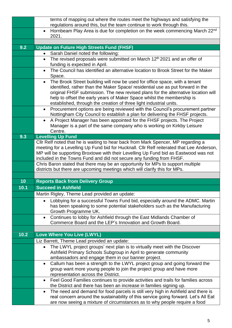| 9.2  | regulations around this, but the team continue to work through this.<br>Hornbeam Play Area is due for completion on the week commencing March 22nd<br>$\bullet$<br>2021.<br><b>Update on Future High Streets Fund (FHSF)</b><br>Sarah Daniel noted the following:                                                                |
|------|----------------------------------------------------------------------------------------------------------------------------------------------------------------------------------------------------------------------------------------------------------------------------------------------------------------------------------|
|      |                                                                                                                                                                                                                                                                                                                                  |
|      |                                                                                                                                                                                                                                                                                                                                  |
|      |                                                                                                                                                                                                                                                                                                                                  |
|      |                                                                                                                                                                                                                                                                                                                                  |
|      | The revised proposals were submitted on March 12 <sup>th</sup> 2021 and an offer of<br>$\bullet$                                                                                                                                                                                                                                 |
|      | funding is expected in April.                                                                                                                                                                                                                                                                                                    |
|      | The Council has identified an alternative location to Brook Street for the Maker<br>$\bullet$                                                                                                                                                                                                                                    |
|      | Space.                                                                                                                                                                                                                                                                                                                           |
|      | The Brook Street building will now be used for office space, with a tenant<br>$\bullet$                                                                                                                                                                                                                                          |
|      | identified, rather than the Maker Space/ residential use as put forward in the<br>original FHSF submission. The new revised plans for the alternative location will                                                                                                                                                              |
|      | help to offset the early years of Maker Space whilst the membership is                                                                                                                                                                                                                                                           |
|      | established, through the creation of three light industrial units.                                                                                                                                                                                                                                                               |
|      | Procurement options are being reviewed with the Council's procurement partner<br>$\bullet$                                                                                                                                                                                                                                       |
|      | Nottingham City Council to establish a plan for delivering the FHSF projects.                                                                                                                                                                                                                                                    |
|      | A Project Manager has been appointed for the FHSF projects. The Project<br>$\bullet$                                                                                                                                                                                                                                             |
|      | Manager is a part of the same company who is working on Kirkby Leisure<br>Centre.                                                                                                                                                                                                                                                |
| 9.3  | <b>Levelling Up Fund</b>                                                                                                                                                                                                                                                                                                         |
|      | Cllr Relf noted that he is waiting to hear back from Mark Spencer, MP regarding a                                                                                                                                                                                                                                                |
|      | meeting for a Levelling Up Fund bid for Hucknall. Cllr Relf reiterated that Lee Anderson,                                                                                                                                                                                                                                        |
|      | MP will be supporting Broxtowe with their Levelling Up Fund bid as Eastwood was not                                                                                                                                                                                                                                              |
|      | included in the Towns Fund and did not secure any funding from FHSF.                                                                                                                                                                                                                                                             |
|      | Chris Baron stated that there may be an opportunity for MPs to support multiple<br>districts but there are upcoming meetings which will clarify this for MPs.                                                                                                                                                                    |
|      |                                                                                                                                                                                                                                                                                                                                  |
| 10   | <b>Reports Back from Delivery Group</b>                                                                                                                                                                                                                                                                                          |
| 10.1 | <b>Succeed in Ashfield</b>                                                                                                                                                                                                                                                                                                       |
|      | Martin Rigley, Theme Lead provided an update:                                                                                                                                                                                                                                                                                    |
|      | Lobbying for a successful Towns Fund bid, especially around the ADMC. Martin<br>$\bullet$                                                                                                                                                                                                                                        |
|      | has been speaking to some potential stakeholders such as the Manufacturing                                                                                                                                                                                                                                                       |
|      | Growth Programme UK.                                                                                                                                                                                                                                                                                                             |
|      | Continues to lobby for Ashfield through the East Midlands Chamber of<br>$\bullet$<br>Commerce Board and the LEP's Innovation and Growth Board.                                                                                                                                                                                   |
|      |                                                                                                                                                                                                                                                                                                                                  |
| 10.2 | Love Where You Live (LWYL)                                                                                                                                                                                                                                                                                                       |
|      | Liz Barrett, Theme Lead provided an update:                                                                                                                                                                                                                                                                                      |
|      | The LWYL project groups' next plan is to virtually meet with the Discover<br>$\bullet$                                                                                                                                                                                                                                           |
|      |                                                                                                                                                                                                                                                                                                                                  |
|      |                                                                                                                                                                                                                                                                                                                                  |
|      |                                                                                                                                                                                                                                                                                                                                  |
|      |                                                                                                                                                                                                                                                                                                                                  |
|      | Feel Good Families continues to provide activities and trails for families across<br>$\bullet$                                                                                                                                                                                                                                   |
|      | the District and there has been an increase in families signing up.                                                                                                                                                                                                                                                              |
|      | The need and demand for food parcels is still very high in Ashfield and there is<br>$\bullet$<br>real concern around the sustainability of this service going forward. Let's All Eat                                                                                                                                             |
|      |                                                                                                                                                                                                                                                                                                                                  |
|      | Ashfield Primary Schools Subgroup in April to generate community<br>ambassadors and engage them in our banner project.<br>Callum has been a strength to the LWYL project group and going forward the<br>$\bullet$<br>group want more young people to join the project group and have more<br>representation across the District. |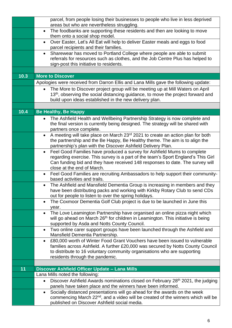|      | parcel, from people losing their businesses to people who live in less deprived<br>areas but who are nevertheless struggling.                                                                                                                                                             |
|------|-------------------------------------------------------------------------------------------------------------------------------------------------------------------------------------------------------------------------------------------------------------------------------------------|
|      | The foodbanks are supporting these residents and then are looking to move<br>$\bullet$<br>them onto a social shop model.                                                                                                                                                                  |
|      | Over Easter, Let's All Eat will help to deliver Easter meals and eggs to food<br>$\bullet$<br>parcel recipients and their families.                                                                                                                                                       |
|      | Sharewear has moved to Portland College where people are able to submit<br>$\bullet$<br>referrals for resources such as clothes, and the Job Centre Plus has helped to<br>sign-post this initiative to residents.                                                                         |
| 10.3 | <b>More to Discover</b>                                                                                                                                                                                                                                                                   |
|      | Apologies were received from Darron Ellis and Lana Mills gave the following update:                                                                                                                                                                                                       |
|      | • The More to Discover project group will be meeting up at Mill Waters on April<br>13 <sup>th</sup> , observing the social distancing guidance, to move the project forward and<br>build upon ideas established in the new delivery plan.                                                 |
|      |                                                                                                                                                                                                                                                                                           |
| 10.4 | <b>Be Healthy, Be Happy</b>                                                                                                                                                                                                                                                               |
|      | The Ashfield Health and Wellbeing Partnership Strategy is now complete and<br>$\bullet$<br>the final version is currently being designed. The strategy will be shared with<br>partners once complete.                                                                                     |
|      | A meeting will take place on March 23rd 2021 to create an action plan for both<br>$\bullet$<br>the partnership and the Be Happy, Be Healthy theme. The aim is to align the<br>partnership's plan with the Discover Ashfield Delivery Plan.                                                |
|      | Feel Good Families have produced a survey for Ashfield Mums to complete<br>$\bullet$<br>regarding exercise. This survey is a part of the team's Sport England's This Girl<br>Can funding bid and they have received 148 responses to date. The survey will<br>close at the end of March.  |
|      | Feel Good Families are recruiting Ambassadors to help support their community-<br>$\bullet$<br>based activities and trails.                                                                                                                                                               |
|      | The Ashfield and Mansfield Dementia Group is increasing in members and they<br>$\bullet$<br>have been distributing packs and working with Kirkby Rotary Club to send CDs<br>out for people to listen to over the spring holidays.                                                         |
|      | The Coxmoor Dementia Golf Club project is due to be launched in June this<br>$\bullet$<br>year.                                                                                                                                                                                           |
|      | The Love Leamington Partnership have organised an online pizza night which<br>$\bullet$<br>will go ahead on March 26 <sup>th</sup> for children in Leamington. This initiative is being<br>supported by Asda and Notts County Council.                                                    |
|      | Two online carer support groups have been launched through the Ashfield and<br>$\bullet$<br>Mansfield Dementia Partnership.                                                                                                                                                               |
|      | £80,000 worth of Winter Food Grant Vouchers have been issued to vulnerable<br>$\bullet$<br>families across Ashfield. A further £20,000 was secured by Notts County Council<br>to distribute to 16 voluntary community organisations who are supporting<br>residents through the pandemic. |
| 11   | Discover Ashfield Officer Update - Lana Mills                                                                                                                                                                                                                                             |
|      | Lana Mills noted the following:                                                                                                                                                                                                                                                           |
|      | Discover Ashfield Awards nominations closed on February 28 <sup>th</sup> 2021, the judging<br>$\bullet$                                                                                                                                                                                   |
|      | panels have taken place and the winners have been informed.                                                                                                                                                                                                                               |
|      | Socially distanced presentations will go ahead for the awards on the week<br>$\bullet$<br>commencing March 22 <sup>nd</sup> , and a video will be created of the winners which will be<br>published on Discover Ashfield social media.                                                    |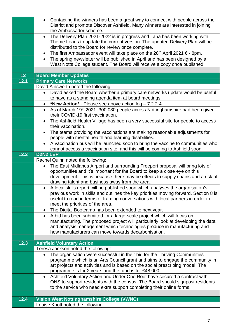|      | Contacting the winners has been a great way to connect with people across the<br>$\bullet$<br>District and promote Discover Ashfield. Many winners are interested in joining |
|------|------------------------------------------------------------------------------------------------------------------------------------------------------------------------------|
|      | the Ambassador scheme.                                                                                                                                                       |
|      | • The Delivery Plan 2021-2022 is in progress and Lana has been working with<br>Theme Leads to update the current version. The updated Delivery Plan will be                  |
|      | distributed to the Board for review once complete.                                                                                                                           |
|      | The first Ambassador event will take place on the 28 <sup>th</sup> April 2021 6 - 8pm.<br>$\bullet$                                                                          |
|      | The spring newsletter will be published in April and has been designed by a<br>$\bullet$<br>West Notts College student. The Board will receive a copy once published.        |
|      |                                                                                                                                                                              |
| 12   | <b>Board Member Updates</b>                                                                                                                                                  |
| 12.1 | <b>Primary Care Networks</b>                                                                                                                                                 |
|      | David Ainsworth noted the following:                                                                                                                                         |
|      | David asked the Board whether a primary care networks update would be useful<br>$\bullet$                                                                                    |
|      | to have as a standing agenda item at board meetings.                                                                                                                         |
|      | *New Action* - Please see above action log - 7.2.2.4<br>$\bullet$                                                                                                            |
|      | As of March 19th 2021, 300,080 people across Nottinghamshire had been given<br>$\bullet$<br>their COVID-19 first vaccination.                                                |
|      | The Ashfield Health Village has been a very successful site for people to access<br>$\bullet$<br>their vaccination.                                                          |
|      | The teams providing the vaccinations are making reasonable adjustments for<br>$\bullet$                                                                                      |
|      | people with mental health and learning disabilities.                                                                                                                         |
|      | A vaccination bus will be launched soon to bring the vaccine to communities who<br>$\bullet$                                                                                 |
|      | cannot access a vaccination site, and this will be coming to Ashfield soon.                                                                                                  |
| 12.2 | <b>D2N2 LEP</b>                                                                                                                                                              |
|      | Rachel Quinn noted the following:                                                                                                                                            |
|      | The East Midlands Airport and surrounding Freeport proposal will bring lots of<br>$\bullet$                                                                                  |
|      | opportunities and it's important for the Board to keep a close eye on this<br>development. This is because there may be effects to supply chains and a risk of               |
|      | drawing talent and business away from the area.                                                                                                                              |
|      | A local skills report will be published soon which analyses the organisation's<br>$\bullet$                                                                                  |
|      | previous work in skills and outlines the key priorities moving forward. Section 8 is                                                                                         |
|      | useful to read in terms of framing conversations with local partners in order to                                                                                             |
|      | meet the priorities of the area.                                                                                                                                             |
|      | The Digital Bootcamp has been extended to next year.<br>$\bullet$                                                                                                            |
|      | A bid has been submitted for a large-scale project which will focus on<br>$\bullet$<br>manufacturing. The proposed project will particularly look at developing the data     |
|      | and analysis management which technologies produce in manufacturing and                                                                                                      |
|      | how manufacturers can move towards decarbonisation.                                                                                                                          |
|      |                                                                                                                                                                              |
| 12.3 | <b>Ashfield Voluntary Action</b>                                                                                                                                             |
|      | Teresa Jackson noted the following:                                                                                                                                          |
|      | The organisation were successful in their bid for the Thriving Communities<br>$\bullet$                                                                                      |
|      | programme which is an Arts Council grant and aims to engage the community in                                                                                                 |
|      | art projects and activities and is based on the social prescribing model. The<br>programme is for 2 years and the fund is for £48,000.                                       |
|      | Ashfield Voluntary Action and Under One Roof have secured a contract with<br>$\bullet$                                                                                       |
|      | ONS to support residents with the census. The Board should signpost residents                                                                                                |
|      | to the service who need extra support completing their online forms.                                                                                                         |
|      |                                                                                                                                                                              |
| 12.4 | <b>Vision West Nottinghamshire College (VWNC)</b>                                                                                                                            |
|      | Louise Knott noted the following:                                                                                                                                            |